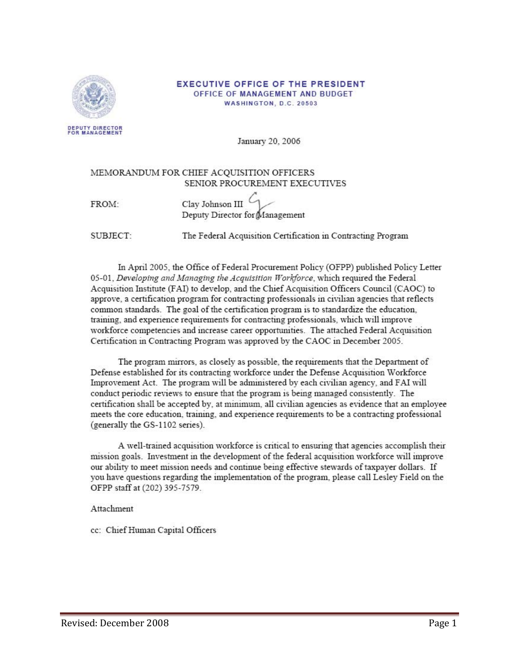

#### **EXECUTIVE OFFICE OF THE PRESIDENT** OFFICE OF MANAGEMENT AND BUDGET WASHINGTON, D.C. 20503

DEPUTY DIRECTOR<br>FOR MANAGEMENT

January 20, 2006

### MEMORANDUM FOR CHIEF ACQUISITION OFFICERS SENIOR PROCUREMENT EXECUTIVES

| Clay Johnson III               |  |
|--------------------------------|--|
| Deputy Director for Management |  |

**SUBJECT** 

FROM:

The Federal Acquisition Certification in Contracting Program

In April 2005, the Office of Federal Procurement Policy (OFPP) published Policy Letter 05-01, Developing and Managing the Acquisition Workforce, which required the Federal Acquisition Institute (FAI) to develop, and the Chief Acquisition Officers Council (CAOC) to approve, a certification program for contracting professionals in civilian agencies that reflects common standards. The goal of the certification program is to standardize the education, training, and experience requirements for contracting professionals, which will improve workforce competencies and increase career opportunities. The attached Federal Acquisition Certification in Contracting Program was approved by the CAOC in December 2005.

The program mirrors, as closely as possible, the requirements that the Department of Defense established for its contracting workforce under the Defense Acquisition Workforce Improvement Act. The program will be administered by each civilian agency, and FAI will conduct periodic reviews to ensure that the program is being managed consistently. The certification shall be accepted by, at minimum, all civilian agencies as evidence that an employee meets the core education, training, and experience requirements to be a contracting professional (generally the GS-1102 series).

A well-trained acquisition workforce is critical to ensuring that agencies accomplish their mission goals. Investment in the development of the federal acquisition workforce will improve our ability to meet mission needs and continue being effective stewards of taxpayer dollars. If you have questions regarding the implementation of the program, please call Lesley Field on the OFPP staff at (202) 395-7579.

Attachment

cc: Chief Human Capital Officers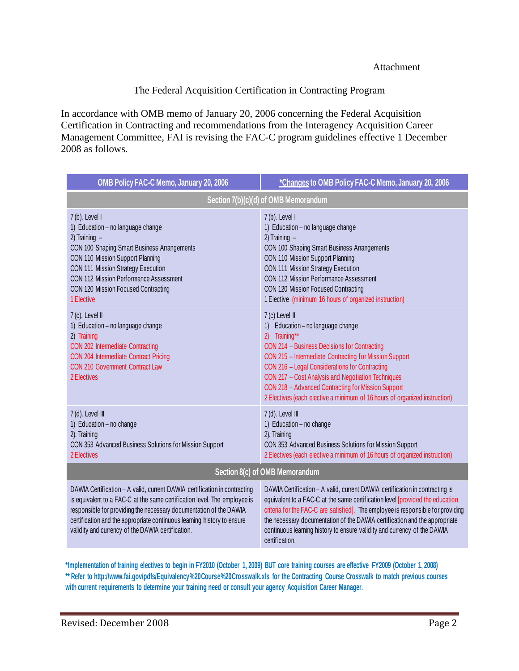# The Federal Acquisition Certification in Contracting Program

In accordance with OMB memo of January 20, 2006 concerning the Federal Acquisition Certification in Contracting and recommendations from the Interagency Acquisition Career Management Committee, FAI is revising the FAC-C program guidelines effective 1 December 2008 as follows.

| <b>OMB Policy FAC-C Memo, January 20, 2006</b>                                                                                                                                                                                                                                                          | *Changes to OMB Policy FAC-C Memo, January 20, 2006                                                                                                                                                                                                                                                                                                                                                                                                                          |  |
|---------------------------------------------------------------------------------------------------------------------------------------------------------------------------------------------------------------------------------------------------------------------------------------------------------|------------------------------------------------------------------------------------------------------------------------------------------------------------------------------------------------------------------------------------------------------------------------------------------------------------------------------------------------------------------------------------------------------------------------------------------------------------------------------|--|
| Section 7(b)(c)(d) of OMB Memorandum                                                                                                                                                                                                                                                                    |                                                                                                                                                                                                                                                                                                                                                                                                                                                                              |  |
| 7(b). Level I<br>1) Education - no language change<br>2) Training $-$<br>CON 100 Shaping Smart Business Arrangements<br>CON 110 Mission Support Planning<br>CON 111 Mission Strategy Execution<br><b>CON 112 Mission Performance Assessment</b><br>CON 120 Mission Focused Contracting<br>1 Elective    | $7(b)$ . Level I<br>1) Education - no language change<br>2) Training $-$<br>CON 100 Shaping Smart Business Arrangements<br>CON 110 Mission Support Planning<br>CON 111 Mission Strategy Execution<br><b>CON 112 Mission Performance Assessment</b><br>CON 120 Mission Focused Contracting<br>1 Elective (minimum 16 hours of organized instruction)                                                                                                                          |  |
| 7 (c). Level II<br>1) Education - no language change<br>2) Training<br>CON 202 Intermediate Contracting<br>CON 204 Intermediate Contract Pricing<br><b>CON 210 Government Contract Law</b><br>2 Electives                                                                                               | 7 (c) Level II<br>Education - no language change<br>$\left( \begin{matrix} 1 \end{matrix} \right)$<br>Training**<br>2)<br>CON 214 - Business Decisions for Contracting<br>CON 215 - Intermediate Contracting for Mission Support<br>CON 216 - Legal Considerations for Contracting<br>CON 217 - Cost Analysis and Negotiation Techniques<br>CON 218 - Advanced Contracting for Mission Support<br>2 Electives (each elective a minimum of 16 hours of organized instruction) |  |
| 7 (d). Level III<br>1) Education - no change<br>2). Training<br>CON 353 Advanced Business Solutions for Mission Support<br>2 Electives                                                                                                                                                                  | 7 (d). Level III<br>1) Education - no change<br>2). Training<br>CON 353 Advanced Business Solutions for Mission Support<br>2 Electives (each elective a minimum of 16 hours of organized instruction)                                                                                                                                                                                                                                                                        |  |
| Section 8(c) of OMB Memorandum                                                                                                                                                                                                                                                                          |                                                                                                                                                                                                                                                                                                                                                                                                                                                                              |  |
| DAWIA Certification - A valid, current DAWIA certification in contracting<br>is equivalent to a FAC-C at the same certification level. The employee is<br>responsible for providing the necessary documentation of the DAWIA<br>certification and the appropriate continuous learning history to ensure | DAWIA Certification - A valid, current DAWIA certification in contracting is<br>equivalent to a FAC-C at the same certification level [provided the education<br>criteria for the FAC-C are satisfied]. The employee is responsible for providing<br>the necessary documentation of the DAWIA certification and the appropriate                                                                                                                                              |  |

**\*Implementation of training electives to begin in FY2010 (October 1, 2009) BUT core training courses are effective FY2009 (October 1, 2008) \*\* Refer to http://www.fai.gov/pdfs/Equivalency%20Course%20Crosswalk.xls for the Contracting Course Crosswalk to match previous courses with current requirements to determine your training need or consult your agency Acquisition Career Manager.**

certification.

validity and currency of the DAWIA certification.

continuous learning history to ensure validity and currency of the DAWIA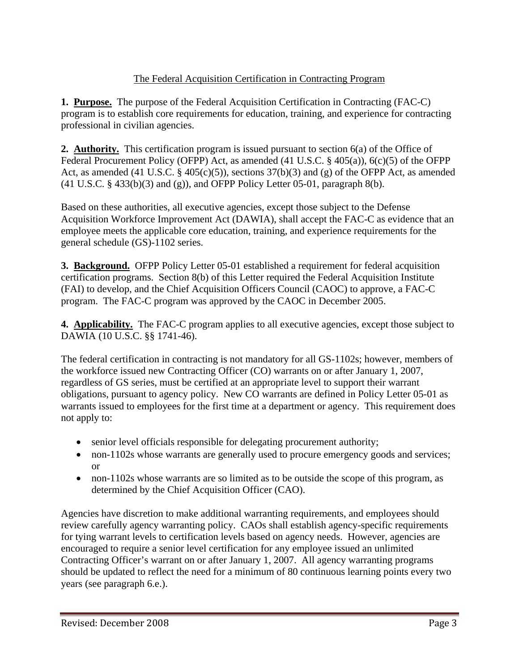# The Federal Acquisition Certification in Contracting Program

**1. Purpose.** The purpose of the Federal Acquisition Certification in Contracting (FAC-C) program is to establish core requirements for education, training, and experience for contracting professional in civilian agencies.

**2. Authority.** This certification program is issued pursuant to section 6(a) of the Office of Federal Procurement Policy (OFPP) Act, as amended (41 U.S.C. § 405(a)), 6(c)(5) of the OFPP Act, as amended (41 U.S.C.  $\S$  405(c)(5)), sections 37(b)(3) and (g) of the OFPP Act, as amended  $(41 \text{ U.S.C. } § 433(b)(3)$  and  $(g)$ ), and OFPP Policy Letter 05-01, paragraph 8(b).

Based on these authorities, all executive agencies, except those subject to the Defense Acquisition Workforce Improvement Act (DAWIA), shall accept the FAC-C as evidence that an employee meets the applicable core education, training, and experience requirements for the general schedule (GS)-1102 series.

**3. Background.** OFPP Policy Letter 05-01 established a requirement for federal acquisition certification programs. Section 8(b) of this Letter required the Federal Acquisition Institute (FAI) to develop, and the Chief Acquisition Officers Council (CAOC) to approve, a FAC-C program. The FAC-C program was approved by the CAOC in December 2005.

**4. Applicability.** The FAC-C program applies to all executive agencies, except those subject to DAWIA (10 U.S.C. §§ 1741-46).

The federal certification in contracting is not mandatory for all GS-1102s; however, members of the workforce issued new Contracting Officer (CO) warrants on or after January 1, 2007, regardless of GS series, must be certified at an appropriate level to support their warrant obligations, pursuant to agency policy. New CO warrants are defined in Policy Letter 05-01 as warrants issued to employees for the first time at a department or agency. This requirement does not apply to:

- senior level officials responsible for delegating procurement authority;
- non-1102s whose warrants are generally used to procure emergency goods and services; or
- non-1102s whose warrants are so limited as to be outside the scope of this program, as determined by the Chief Acquisition Officer (CAO).

Agencies have discretion to make additional warranting requirements, and employees should review carefully agency warranting policy. CAOs shall establish agency-specific requirements for tying warrant levels to certification levels based on agency needs. However, agencies are encouraged to require a senior level certification for any employee issued an unlimited Contracting Officer's warrant on or after January 1, 2007. All agency warranting programs should be updated to reflect the need for a minimum of 80 continuous learning points every two years (see paragraph 6.e.).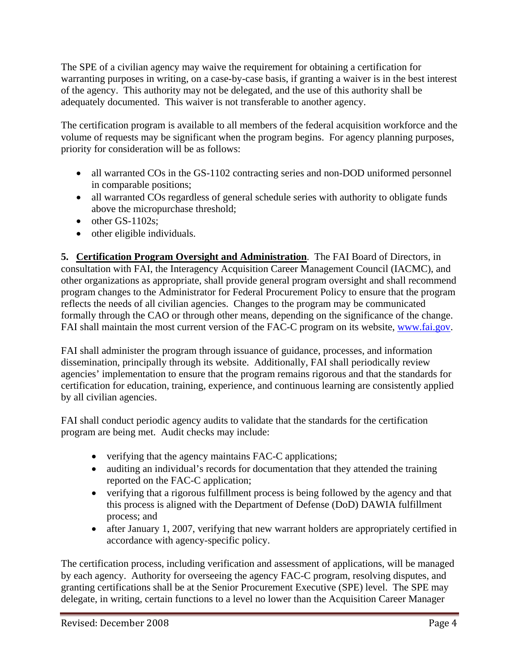The SPE of a civilian agency may waive the requirement for obtaining a certification for warranting purposes in writing, on a case-by-case basis, if granting a waiver is in the best interest of the agency. This authority may not be delegated, and the use of this authority shall be adequately documented. This waiver is not transferable to another agency.

The certification program is available to all members of the federal acquisition workforce and the volume of requests may be significant when the program begins. For agency planning purposes, priority for consideration will be as follows:

- all warranted COs in the GS-1102 contracting series and non-DOD uniformed personnel in comparable positions;
- all warranted COs regardless of general schedule series with authority to obligate funds above the micropurchase threshold;
- $\bullet$  other GS-1102s:
- other eligible individuals.

**5. Certification Program Oversight and Administration**. The FAI Board of Directors, in consultation with FAI, the Interagency Acquisition Career Management Council (IACMC), and other organizations as appropriate, shall provide general program oversight and shall recommend program changes to the Administrator for Federal Procurement Policy to ensure that the program reflects the needs of all civilian agencies. Changes to the program may be communicated formally through the CAO or through other means, depending on the significance of the change. FAI shall maintain the most current version of the FAC-C program on its website, www.fai.gov.

FAI shall administer the program through issuance of guidance, processes, and information dissemination, principally through its website. Additionally, FAI shall periodically review agencies' implementation to ensure that the program remains rigorous and that the standards for certification for education, training, experience, and continuous learning are consistently applied by all civilian agencies.

FAI shall conduct periodic agency audits to validate that the standards for the certification program are being met. Audit checks may include:

- verifying that the agency maintains FAC-C applications;
- auditing an individual's records for documentation that they attended the training reported on the FAC-C application;
- verifying that a rigorous fulfillment process is being followed by the agency and that this process is aligned with the Department of Defense (DoD) DAWIA fulfillment process; and
- after January 1, 2007, verifying that new warrant holders are appropriately certified in accordance with agency-specific policy.

The certification process, including verification and assessment of applications, will be managed by each agency. Authority for overseeing the agency FAC-C program, resolving disputes, and granting certifications shall be at the Senior Procurement Executive (SPE) level. The SPE may delegate, in writing, certain functions to a level no lower than the Acquisition Career Manager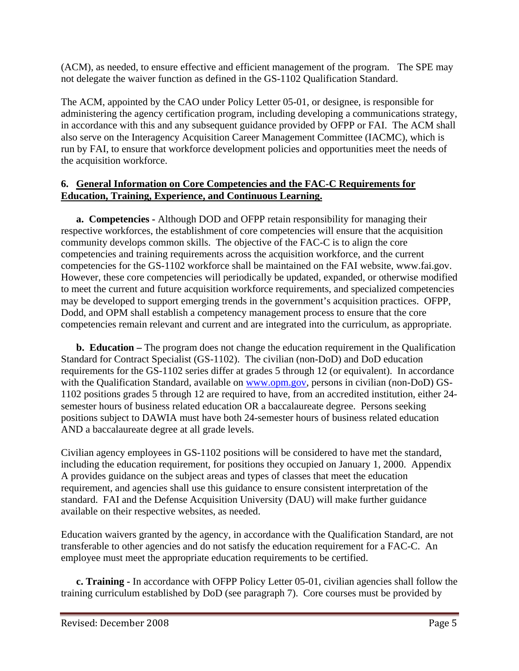(ACM), as needed, to ensure effective and efficient management of the program. The SPE may not delegate the waiver function as defined in the GS-1102 Qualification Standard.

The ACM, appointed by the CAO under Policy Letter 05-01, or designee, is responsible for administering the agency certification program, including developing a communications strategy, in accordance with this and any subsequent guidance provided by OFPP or FAI. The ACM shall also serve on the Interagency Acquisition Career Management Committee (IACMC), which is run by FAI, to ensure that workforce development policies and opportunities meet the needs of the acquisition workforce.

# **6. General Information on Core Competencies and the FAC-C Requirements for Education, Training, Experience, and Continuous Learning.**

**a. Competencies -** Although DOD and OFPP retain responsibility for managing their respective workforces, the establishment of core competencies will ensure that the acquisition community develops common skills. The objective of the FAC-C is to align the core competencies and training requirements across the acquisition workforce, and the current competencies for the GS-1102 workforce shall be maintained on the FAI website, www.fai.gov. However, these core competencies will periodically be updated, expanded, or otherwise modified to meet the current and future acquisition workforce requirements, and specialized competencies may be developed to support emerging trends in the government's acquisition practices. OFPP, Dodd, and OPM shall establish a competency management process to ensure that the core competencies remain relevant and current and are integrated into the curriculum, as appropriate.

**b. Education –** The program does not change the education requirement in the Qualification Standard for Contract Specialist (GS-1102). The civilian (non-DoD) and DoD education requirements for the GS-1102 series differ at grades 5 through 12 (or equivalent). In accordance with the Qualification Standard, available on www.opm.gov, persons in civilian (non-DoD) GS-1102 positions grades 5 through 12 are required to have, from an accredited institution, either 24 semester hours of business related education OR a baccalaureate degree. Persons seeking positions subject to DAWIA must have both 24-semester hours of business related education AND a baccalaureate degree at all grade levels.

Civilian agency employees in GS-1102 positions will be considered to have met the standard, including the education requirement, for positions they occupied on January 1, 2000. Appendix A provides guidance on the subject areas and types of classes that meet the education requirement, and agencies shall use this guidance to ensure consistent interpretation of the standard. FAI and the Defense Acquisition University (DAU) will make further guidance available on their respective websites, as needed.

Education waivers granted by the agency, in accordance with the Qualification Standard, are not transferable to other agencies and do not satisfy the education requirement for a FAC-C. An employee must meet the appropriate education requirements to be certified.

**c. Training -** In accordance with OFPP Policy Letter 05-01, civilian agencies shall follow the training curriculum established by DoD (see paragraph 7). Core courses must be provided by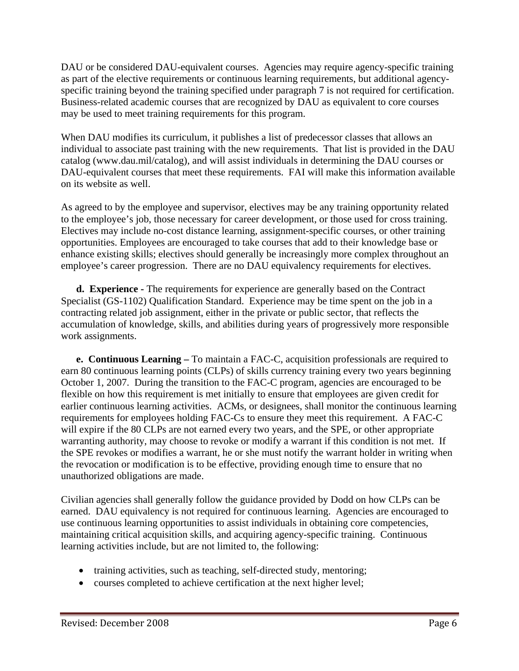DAU or be considered DAU-equivalent courses. Agencies may require agency-specific training as part of the elective requirements or continuous learning requirements, but additional agencyspecific training beyond the training specified under paragraph 7 is not required for certification. Business-related academic courses that are recognized by DAU as equivalent to core courses may be used to meet training requirements for this program.

When DAU modifies its curriculum, it publishes a list of predecessor classes that allows an individual to associate past training with the new requirements. That list is provided in the DAU catalog (www.dau.mil/catalog), and will assist individuals in determining the DAU courses or DAU-equivalent courses that meet these requirements. FAI will make this information available on its website as well.

As agreed to by the employee and supervisor, electives may be any training opportunity related to the employee's job, those necessary for career development, or those used for cross training. Electives may include no-cost distance learning, assignment-specific courses, or other training opportunities. Employees are encouraged to take courses that add to their knowledge base or enhance existing skills; electives should generally be increasingly more complex throughout an employee's career progression. There are no DAU equivalency requirements for electives.

**d. Experience -** The requirements for experience are generally based on the Contract Specialist (GS-1102) Qualification Standard. Experience may be time spent on the job in a contracting related job assignment, either in the private or public sector, that reflects the accumulation of knowledge, skills, and abilities during years of progressively more responsible work assignments.

**e. Continuous Learning –** To maintain a FAC-C, acquisition professionals are required to earn 80 continuous learning points (CLPs) of skills currency training every two years beginning October 1, 2007. During the transition to the FAC-C program, agencies are encouraged to be flexible on how this requirement is met initially to ensure that employees are given credit for earlier continuous learning activities. ACMs, or designees, shall monitor the continuous learning requirements for employees holding FAC-Cs to ensure they meet this requirement. A FAC-C will expire if the 80 CLPs are not earned every two years, and the SPE, or other appropriate warranting authority, may choose to revoke or modify a warrant if this condition is not met. If the SPE revokes or modifies a warrant, he or she must notify the warrant holder in writing when the revocation or modification is to be effective, providing enough time to ensure that no unauthorized obligations are made.

Civilian agencies shall generally follow the guidance provided by Dodd on how CLPs can be earned. DAU equivalency is not required for continuous learning. Agencies are encouraged to use continuous learning opportunities to assist individuals in obtaining core competencies, maintaining critical acquisition skills, and acquiring agency-specific training. Continuous learning activities include, but are not limited to, the following:

- training activities, such as teaching, self-directed study, mentoring;
- courses completed to achieve certification at the next higher level;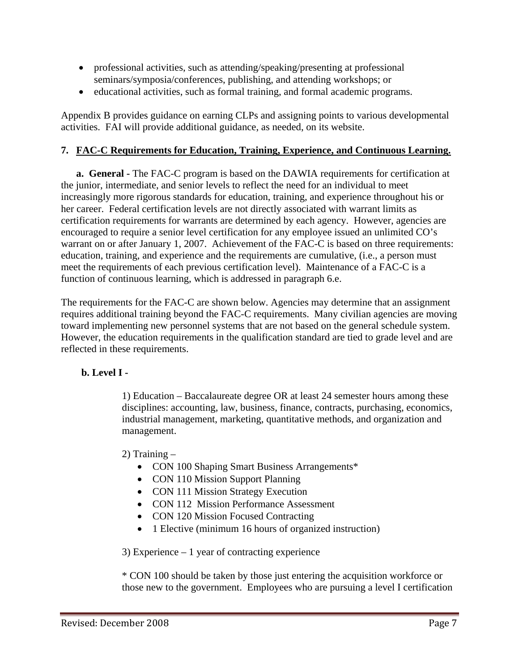- professional activities, such as attending/speaking/presenting at professional seminars/symposia/conferences, publishing, and attending workshops; or
- educational activities, such as formal training, and formal academic programs.

Appendix B provides guidance on earning CLPs and assigning points to various developmental activities. FAI will provide additional guidance, as needed, on its website.

# **7. FAC-C Requirements for Education, Training, Experience, and Continuous Learning.**

**a. General -** The FAC-C program is based on the DAWIA requirements for certification at the junior, intermediate, and senior levels to reflect the need for an individual to meet increasingly more rigorous standards for education, training, and experience throughout his or her career. Federal certification levels are not directly associated with warrant limits as certification requirements for warrants are determined by each agency. However, agencies are encouraged to require a senior level certification for any employee issued an unlimited CO's warrant on or after January 1, 2007. Achievement of the FAC-C is based on three requirements: education, training, and experience and the requirements are cumulative, (i.e., a person must meet the requirements of each previous certification level). Maintenance of a FAC-C is a function of continuous learning, which is addressed in paragraph 6.e.

The requirements for the FAC-C are shown below. Agencies may determine that an assignment requires additional training beyond the FAC-C requirements. Many civilian agencies are moving toward implementing new personnel systems that are not based on the general schedule system. However, the education requirements in the qualification standard are tied to grade level and are reflected in these requirements.

# **b. Level I -**

1) Education – Baccalaureate degree OR at least 24 semester hours among these disciplines: accounting, law, business, finance, contracts, purchasing, economics, industrial management, marketing, quantitative methods, and organization and management.

2) Training –

- CON 100 Shaping Smart Business Arrangements\*
- CON 110 Mission Support Planning
- CON 111 Mission Strategy Execution
- CON 112 Mission Performance Assessment
- CON 120 Mission Focused Contracting
- 1 Elective (minimum 16 hours of organized instruction)

3) Experience – 1 year of contracting experience

\* CON 100 should be taken by those just entering the acquisition workforce or those new to the government. Employees who are pursuing a level I certification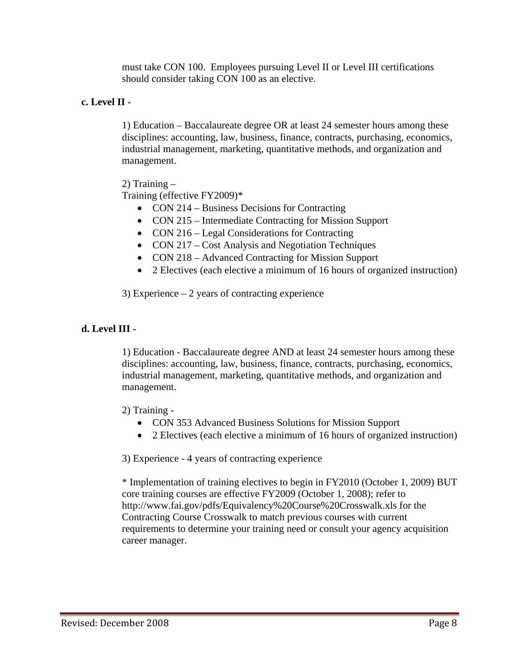must take CON 100. Employees pursuing Level II or Level III certifications should consider taking CON 100 as an elective.

# **c. Level II -**

1) Education – Baccalaureate degree OR at least 24 semester hours among these disciplines: accounting, law, business, finance, contracts, purchasing, economics, industrial management, marketing, quantitative methods, and organization and management.

2) Training –

Training (effective FY2009)\*

- CON 214 Business Decisions for Contracting
- CON 215 Intermediate Contracting for Mission Support
- CON 216 Legal Considerations for Contracting
- CON 217 Cost Analysis and Negotiation Techniques
- CON 218 Advanced Contracting for Mission Support
- 2 Electives (each elective a minimum of 16 hours of organized instruction)

3) Experience – 2 years of contracting experience

# **d. Level III -**

1) Education - Baccalaureate degree AND at least 24 semester hours among these disciplines: accounting, law, business, finance, contracts, purchasing, economics, industrial management, marketing, quantitative methods, and organization and management.

2) Training -

- CON 353 Advanced Business Solutions for Mission Support
- 2 Electives (each elective a minimum of 16 hours of organized instruction)

3) Experience - 4 years of contracting experience

\* Implementation of training electives to begin in FY2010 (October 1, 2009) BUT core training courses are effective FY2009 (October 1, 2008); refer to http://www.fai.gov/pdfs/Equivalency%20Course%20Crosswalk.xls for the Contracting Course Crosswalk to match previous courses with current requirements to determine your training need or consult your agency acquisition career manager.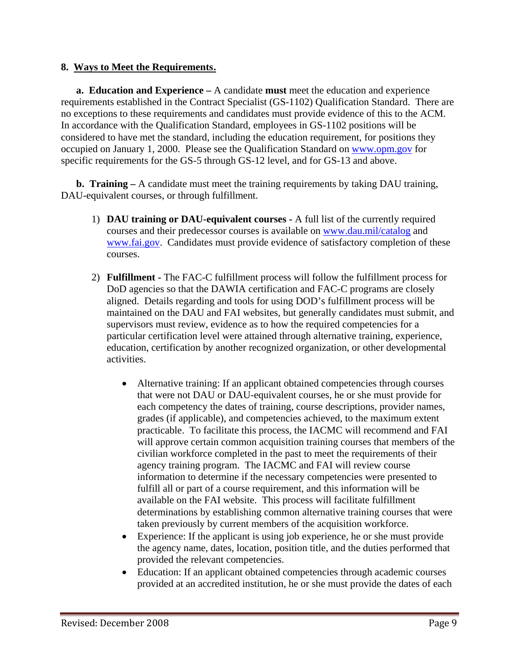## **8. Ways to Meet the Requirements.**

**a. Education and Experience –** A candidate **must** meet the education and experience requirements established in the Contract Specialist (GS-1102) Qualification Standard. There are no exceptions to these requirements and candidates must provide evidence of this to the ACM. In accordance with the Qualification Standard, employees in GS-1102 positions will be considered to have met the standard, including the education requirement, for positions they occupied on January 1, 2000. Please see the Qualification Standard on www.opm.gov for specific requirements for the GS-5 through GS-12 level, and for GS-13 and above.

**b.** Training – A candidate must meet the training requirements by taking DAU training, DAU-equivalent courses, or through fulfillment.

- 1) **DAU training or DAU-equivalent courses -** A full list of the currently required courses and their predecessor courses is available on www.dau.mil/catalog and www.fai.gov. Candidates must provide evidence of satisfactory completion of these courses.
- 2) **Fulfillment -** The FAC-C fulfillment process will follow the fulfillment process for DoD agencies so that the DAWIA certification and FAC-C programs are closely aligned. Details regarding and tools for using DOD's fulfillment process will be maintained on the DAU and FAI websites, but generally candidates must submit, and supervisors must review, evidence as to how the required competencies for a particular certification level were attained through alternative training, experience, education, certification by another recognized organization, or other developmental activities.
	- Alternative training: If an applicant obtained competencies through courses that were not DAU or DAU-equivalent courses, he or she must provide for each competency the dates of training, course descriptions, provider names, grades (if applicable), and competencies achieved, to the maximum extent practicable. To facilitate this process, the IACMC will recommend and FAI will approve certain common acquisition training courses that members of the civilian workforce completed in the past to meet the requirements of their agency training program. The IACMC and FAI will review course information to determine if the necessary competencies were presented to fulfill all or part of a course requirement, and this information will be available on the FAI website. This process will facilitate fulfillment determinations by establishing common alternative training courses that were taken previously by current members of the acquisition workforce.
	- Experience: If the applicant is using job experience, he or she must provide the agency name, dates, location, position title, and the duties performed that provided the relevant competencies.
	- Education: If an applicant obtained competencies through academic courses provided at an accredited institution, he or she must provide the dates of each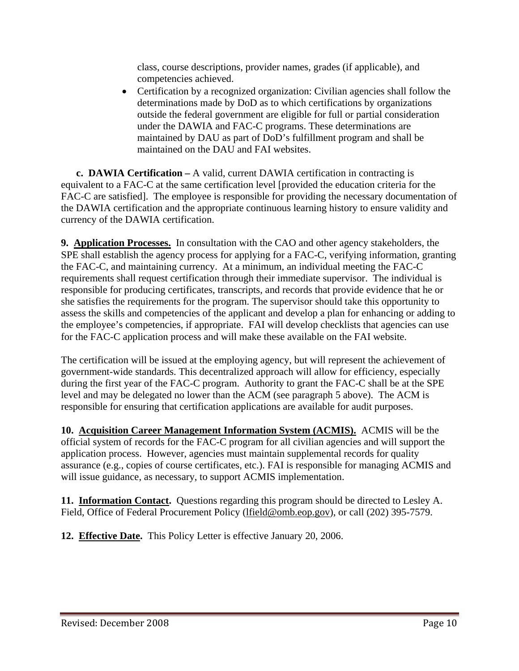class, course descriptions, provider names, grades (if applicable), and competencies achieved.

• Certification by a recognized organization: Civilian agencies shall follow the determinations made by DoD as to which certifications by organizations outside the federal government are eligible for full or partial consideration under the DAWIA and FAC-C programs. These determinations are maintained by DAU as part of DoD's fulfillment program and shall be maintained on the DAU and FAI websites.

**c. DAWIA Certification –** A valid, current DAWIA certification in contracting is equivalent to a FAC-C at the same certification level [provided the education criteria for the FAC-C are satisfied. The employee is responsible for providing the necessary documentation of the DAWIA certification and the appropriate continuous learning history to ensure validity and currency of the DAWIA certification.

**9. Application Processes.** In consultation with the CAO and other agency stakeholders, the SPE shall establish the agency process for applying for a FAC-C, verifying information, granting the FAC-C, and maintaining currency. At a minimum, an individual meeting the FAC-C requirements shall request certification through their immediate supervisor. The individual is responsible for producing certificates, transcripts, and records that provide evidence that he or she satisfies the requirements for the program. The supervisor should take this opportunity to assess the skills and competencies of the applicant and develop a plan for enhancing or adding to the employee's competencies, if appropriate. FAI will develop checklists that agencies can use for the FAC-C application process and will make these available on the FAI website.

The certification will be issued at the employing agency, but will represent the achievement of government-wide standards. This decentralized approach will allow for efficiency, especially during the first year of the FAC-C program. Authority to grant the FAC-C shall be at the SPE level and may be delegated no lower than the ACM (see paragraph 5 above). The ACM is responsible for ensuring that certification applications are available for audit purposes.

**10. Acquisition Career Management Information System (ACMIS).** ACMIS will be the official system of records for the FAC-C program for all civilian agencies and will support the application process. However, agencies must maintain supplemental records for quality assurance (e.g., copies of course certificates, etc.). FAI is responsible for managing ACMIS and will issue guidance, as necessary, to support ACMIS implementation.

**11. Information Contact.** Questions regarding this program should be directed to Lesley A. Field, Office of Federal Procurement Policy (lfield@omb.eop.gov), or call (202) 395-7579.

**12. Effective Date.** This Policy Letter is effective January 20, 2006.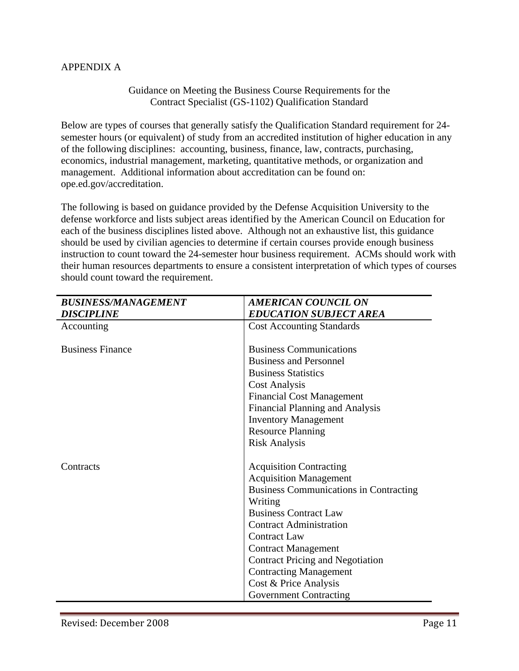### APPENDIX A

#### Guidance on Meeting the Business Course Requirements for the Contract Specialist (GS-1102) Qualification Standard

Below are types of courses that generally satisfy the Qualification Standard requirement for 24 semester hours (or equivalent) of study from an accredited institution of higher education in any of the following disciplines: accounting, business, finance, law, contracts, purchasing, economics, industrial management, marketing, quantitative methods, or organization and management. Additional information about accreditation can be found on: ope.ed.gov/accreditation.

The following is based on guidance provided by the Defense Acquisition University to the defense workforce and lists subject areas identified by the American Council on Education for each of the business disciplines listed above. Although not an exhaustive list, this guidance should be used by civilian agencies to determine if certain courses provide enough business instruction to count toward the 24-semester hour business requirement. ACMs should work with their human resources departments to ensure a consistent interpretation of which types of courses should count toward the requirement.

| <b>BUSINESS/MANAGEMENT</b> | <b>AMERICAN COUNCIL ON</b>                    |
|----------------------------|-----------------------------------------------|
| <b>DISCIPLINE</b>          | <b>EDUCATION SUBJECT AREA</b>                 |
| Accounting                 | <b>Cost Accounting Standards</b>              |
|                            |                                               |
| <b>Business Finance</b>    | <b>Business Communications</b>                |
|                            | <b>Business and Personnel</b>                 |
|                            | <b>Business Statistics</b>                    |
|                            | <b>Cost Analysis</b>                          |
|                            | <b>Financial Cost Management</b>              |
|                            | <b>Financial Planning and Analysis</b>        |
|                            | <b>Inventory Management</b>                   |
|                            | <b>Resource Planning</b>                      |
|                            | <b>Risk Analysis</b>                          |
|                            |                                               |
| Contracts                  | <b>Acquisition Contracting</b>                |
|                            | <b>Acquisition Management</b>                 |
|                            | <b>Business Communications in Contracting</b> |
|                            | Writing                                       |
|                            | <b>Business Contract Law</b>                  |
|                            | <b>Contract Administration</b>                |
|                            | <b>Contract Law</b>                           |
|                            | <b>Contract Management</b>                    |
|                            | <b>Contract Pricing and Negotiation</b>       |
|                            | <b>Contracting Management</b>                 |
|                            | Cost & Price Analysis                         |
|                            | <b>Government Contracting</b>                 |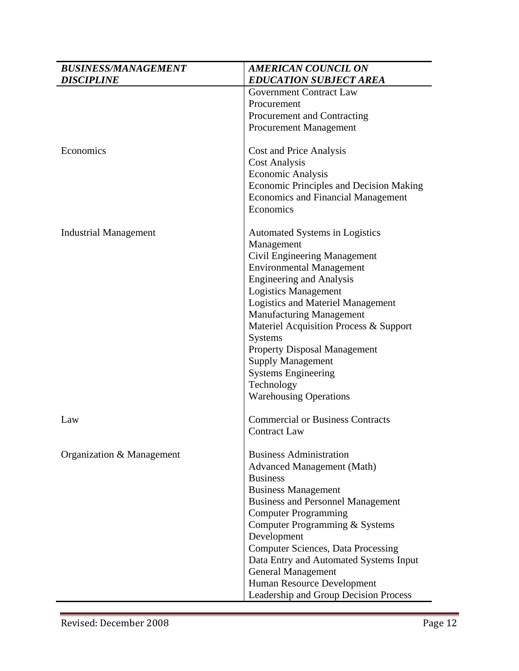| <b>BUSINESS/MANAGEMENT</b>   | <b>AMERICAN COUNCIL ON</b>                     |
|------------------------------|------------------------------------------------|
| <b>DISCIPLINE</b>            | <b>EDUCATION SUBJECT AREA</b>                  |
|                              | <b>Government Contract Law</b>                 |
|                              | Procurement                                    |
|                              | Procurement and Contracting                    |
|                              | <b>Procurement Management</b>                  |
| Economics                    | Cost and Price Analysis                        |
|                              | <b>Cost Analysis</b>                           |
|                              | <b>Economic Analysis</b>                       |
|                              | <b>Economic Principles and Decision Making</b> |
|                              | <b>Economics and Financial Management</b>      |
|                              | Economics                                      |
| <b>Industrial Management</b> | Automated Systems in Logistics                 |
|                              | Management                                     |
|                              | Civil Engineering Management                   |
|                              | <b>Environmental Management</b>                |
|                              | <b>Engineering and Analysis</b>                |
|                              | <b>Logistics Management</b>                    |
|                              | <b>Logistics and Materiel Management</b>       |
|                              | <b>Manufacturing Management</b>                |
|                              | Materiel Acquisition Process & Support         |
|                              | Systems                                        |
|                              | <b>Property Disposal Management</b>            |
|                              | <b>Supply Management</b>                       |
|                              | <b>Systems Engineering</b>                     |
|                              | Technology                                     |
|                              | <b>Warehousing Operations</b>                  |
| Law                          | <b>Commercial or Business Contracts</b>        |
|                              | <b>Contract Law</b>                            |
| Organization & Management    | <b>Business Administration</b>                 |
|                              | <b>Advanced Management (Math)</b>              |
|                              | <b>Business</b>                                |
|                              | <b>Business Management</b>                     |
|                              | <b>Business and Personnel Management</b>       |
|                              | <b>Computer Programming</b>                    |
|                              | Computer Programming & Systems                 |
|                              | Development                                    |
|                              | <b>Computer Sciences, Data Processing</b>      |
|                              | Data Entry and Automated Systems Input         |
|                              | <b>General Management</b>                      |
|                              | Human Resource Development                     |
|                              | Leadership and Group Decision Process          |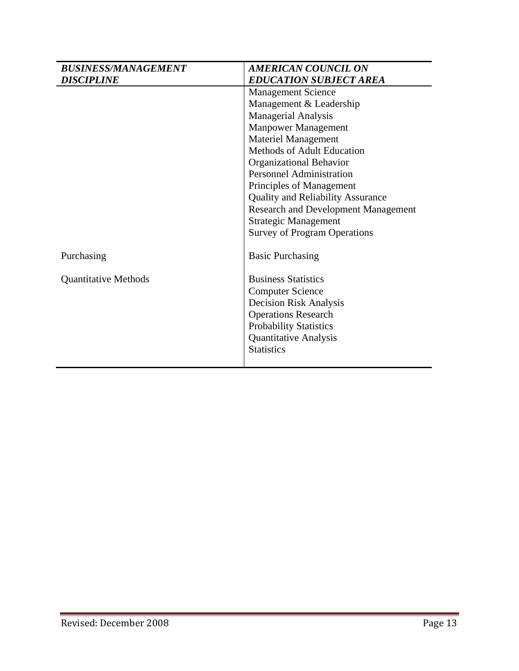| <b>BUSINESS/MANAGEMENT</b>  | <b>AMERICAN COUNCIL ON</b>                 |
|-----------------------------|--------------------------------------------|
| <b>DISCIPLINE</b>           | <b>EDUCATION SUBJECT AREA</b>              |
|                             | <b>Management Science</b>                  |
|                             | Management & Leadership                    |
|                             | Managerial Analysis                        |
|                             | <b>Manpower Management</b>                 |
|                             | <b>Materiel Management</b>                 |
|                             | Methods of Adult Education                 |
|                             | Organizational Behavior                    |
|                             | <b>Personnel Administration</b>            |
|                             | Principles of Management                   |
|                             | <b>Quality and Reliability Assurance</b>   |
|                             | <b>Research and Development Management</b> |
|                             | <b>Strategic Management</b>                |
|                             | <b>Survey of Program Operations</b>        |
| Purchasing                  | <b>Basic Purchasing</b>                    |
| <b>Quantitative Methods</b> | <b>Business Statistics</b>                 |
|                             | <b>Computer Science</b>                    |
|                             | <b>Decision Risk Analysis</b>              |
|                             | <b>Operations Research</b>                 |
|                             | <b>Probability Statistics</b>              |
|                             | <b>Quantitative Analysis</b>               |
|                             | <b>Statistics</b>                          |
|                             |                                            |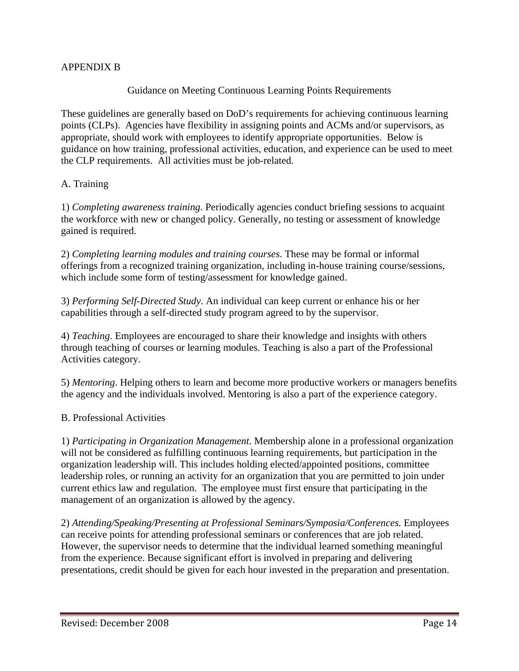# APPENDIX B

## Guidance on Meeting Continuous Learning Points Requirements

These guidelines are generally based on DoD's requirements for achieving continuous learning points (CLPs). Agencies have flexibility in assigning points and ACMs and/or supervisors, as appropriate, should work with employees to identify appropriate opportunities. Below is guidance on how training, professional activities, education, and experience can be used to meet the CLP requirements. All activities must be job-related.

### A. Training

1) *Completing awareness training*. Periodically agencies conduct briefing sessions to acquaint the workforce with new or changed policy. Generally, no testing or assessment of knowledge gained is required.

2) *Completing learning modules and training courses*. These may be formal or informal offerings from a recognized training organization, including in-house training course/sessions, which include some form of testing/assessment for knowledge gained.

3) *Performing Self-Directed Study*. An individual can keep current or enhance his or her capabilities through a self-directed study program agreed to by the supervisor.

4) *Teaching*. Employees are encouraged to share their knowledge and insights with others through teaching of courses or learning modules. Teaching is also a part of the Professional Activities category.

5) *Mentoring*. Helping others to learn and become more productive workers or managers benefits the agency and the individuals involved. Mentoring is also a part of the experience category.

#### B. Professional Activities

1) *Participating in Organization Management*. Membership alone in a professional organization will not be considered as fulfilling continuous learning requirements, but participation in the organization leadership will. This includes holding elected/appointed positions, committee leadership roles, or running an activity for an organization that you are permitted to join under current ethics law and regulation. The employee must first ensure that participating in the management of an organization is allowed by the agency.

2) *Attending/Speaking/Presenting at Professional Seminars/Symposia/Conferences.* Employees can receive points for attending professional seminars or conferences that are job related. However, the supervisor needs to determine that the individual learned something meaningful from the experience. Because significant effort is involved in preparing and delivering presentations, credit should be given for each hour invested in the preparation and presentation.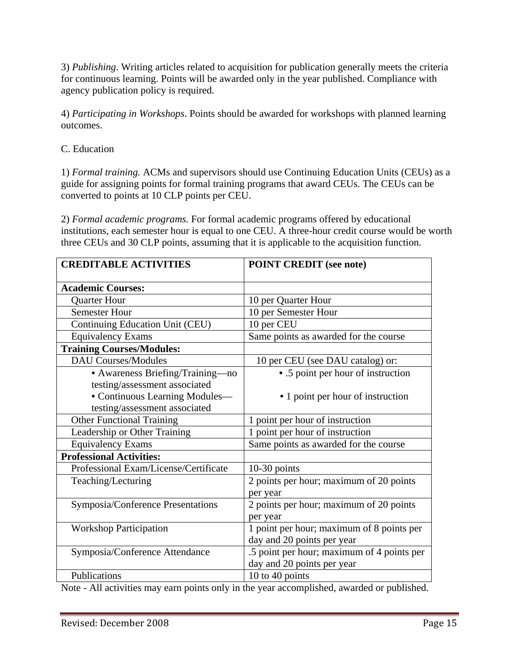3) *Publishing*. Writing articles related to acquisition for publication generally meets the criteria for continuous learning. Points will be awarded only in the year published. Compliance with agency publication policy is required.

4) *Participating in Workshops*. Points should be awarded for workshops with planned learning outcomes.

C. Education

1) *Formal training.* ACMs and supervisors should use Continuing Education Units (CEUs) as a guide for assigning points for formal training programs that award CEUs. The CEUs can be converted to points at 10 CLP points per CEU.

2) *Formal academic programs.* For formal academic programs offered by educational institutions, each semester hour is equal to one CEU. A three-hour credit course would be worth three CEUs and 30 CLP points, assuming that it is applicable to the acquisition function.

| <b>CREDITABLE ACTIVITIES</b>          | <b>POINT CREDIT (see note)</b>             |
|---------------------------------------|--------------------------------------------|
| <b>Academic Courses:</b>              |                                            |
| <b>Quarter Hour</b>                   | 10 per Quarter Hour                        |
| <b>Semester Hour</b>                  | 10 per Semester Hour                       |
| Continuing Education Unit (CEU)       | 10 per CEU                                 |
| <b>Equivalency Exams</b>              | Same points as awarded for the course      |
| <b>Training Courses/Modules:</b>      |                                            |
| <b>DAU Courses/Modules</b>            | 10 per CEU (see DAU catalog) or:           |
| • Awareness Briefing/Training-no      | • .5 point per hour of instruction         |
| testing/assessment associated         |                                            |
| • Continuous Learning Modules-        | • 1 point per hour of instruction          |
| testing/assessment associated         |                                            |
| <b>Other Functional Training</b>      | 1 point per hour of instruction            |
| Leadership or Other Training          | 1 point per hour of instruction            |
| <b>Equivalency Exams</b>              | Same points as awarded for the course      |
| <b>Professional Activities:</b>       |                                            |
| Professional Exam/License/Certificate | $10-30$ points                             |
| Teaching/Lecturing                    | 2 points per hour; maximum of 20 points    |
|                                       | per year                                   |
| Symposia/Conference Presentations     | 2 points per hour; maximum of 20 points    |
|                                       | per year                                   |
| <b>Workshop Participation</b>         | 1 point per hour; maximum of 8 points per  |
|                                       | day and 20 points per year                 |
| Symposia/Conference Attendance        | .5 point per hour; maximum of 4 points per |
|                                       | day and 20 points per year                 |
| Publications                          | 10 to 40 points                            |

Note - All activities may earn points only in the year accomplished, awarded or published.